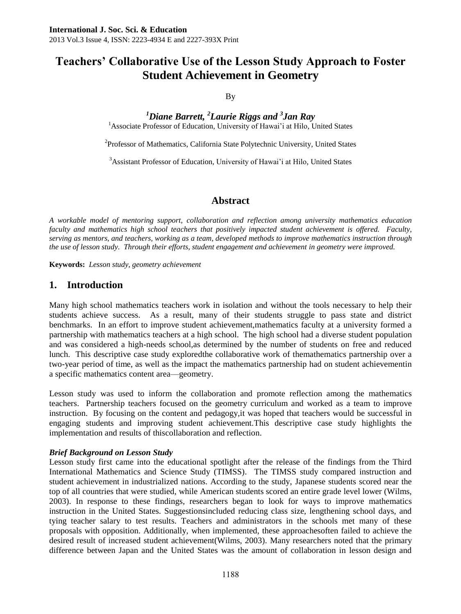# **Teachers' Collaborative Use of the Lesson Study Approach to Foster Student Achievement in Geometry**

## By

*<sup>1</sup>Diane Barrett, <sup>2</sup>Laurie Riggs and <sup>3</sup> Jan Ray* <sup>1</sup> Associate Professor of Education, University of Hawai'i at Hilo, United States

<sup>2</sup>Professor of Mathematics, California State Polytechnic University, United States

<sup>3</sup>Assistant Professor of Education, University of Hawai'i at Hilo, United States

## **Abstract**

*A workable model of mentoring support, collaboration and reflection among university mathematics education faculty and mathematics high school teachers that positively impacted student achievement is offered. Faculty, serving as mentors, and teachers, working as a team, developed methods to improve mathematics instruction through the use of lesson study. Through their efforts, student engagement and achievement in geometry were improved.*

**Keywords:** *Lesson study, geometry achievement*

# **1. Introduction**

Many high school mathematics teachers work in isolation and without the tools necessary to help their students achieve success. As a result, many of their students struggle to pass state and district benchmarks. In an effort to improve student achievement,mathematics faculty at a university formed a partnership with mathematics teachers at a high school. The high school had a diverse student population and was considered a high-needs school,as determined by the number of students on free and reduced lunch. This descriptive case study exploredthe collaborative work of themathematics partnership over a two-year period of time, as well as the impact the mathematics partnership had on student achievementin a specific mathematics content area—geometry.

Lesson study was used to inform the collaboration and promote reflection among the mathematics teachers. Partnership teachers focused on the geometry curriculum and worked as a team to improve instruction. By focusing on the content and pedagogy,it was hoped that teachers would be successful in engaging students and improving student achievement.This descriptive case study highlights the implementation and results of thiscollaboration and reflection.

### *Brief Background on Lesson Study*

Lesson study first came into the educational spotlight after the release of the findings from the Third International Mathematics and Science Study (TIMSS). The TIMSS study compared instruction and student achievement in industrialized nations. According to the study, Japanese students scored near the top of all countries that were studied, while American students scored an entire grade level lower (Wilms, 2003). In response to these findings, researchers began to look for ways to improve mathematics instruction in the United States. Suggestionsincluded reducing class size, lengthening school days, and tying teacher salary to test results. Teachers and administrators in the schools met many of these proposals with opposition. Additionally, when implemented, these approachesoften failed to achieve the desired result of increased student achievement(Wilms, 2003). Many researchers noted that the primary difference between Japan and the United States was the amount of collaboration in lesson design and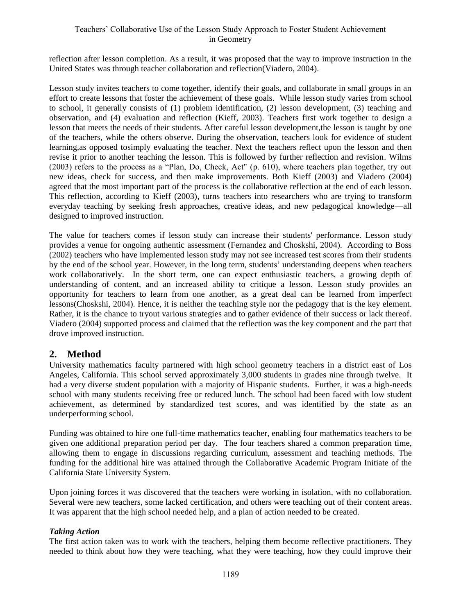## Teachers' Collaborative Use of the Lesson Study Approach to Foster Student Achievement in Geometry

reflection after lesson completion. As a result, it was proposed that the way to improve instruction in the United States was through teacher collaboration and reflection(Viadero, 2004).

Lesson study invites teachers to come together, identify their goals, and collaborate in small groups in an effort to create lessons that foster the achievement of these goals. While lesson study varies from school to school, it generally consists of (1) problem identification, (2) lesson development, (3) teaching and observation, and (4) evaluation and reflection (Kieff, 2003). Teachers first work together to design a lesson that meets the needs of their students. After careful lesson development,the lesson is taught by one of the teachers, while the others observe. During the observation, teachers look for evidence of student learning,as opposed tosimply evaluating the teacher. Next the teachers reflect upon the lesson and then revise it prior to another teaching the lesson. This is followed by further reflection and revision. Wilms (2003) refers to the process as a "Plan, Do, Check, Act" (p. 610), where teachers plan together, try out new ideas, check for success, and then make improvements. Both Kieff (2003) and Viadero (2004) agreed that the most important part of the process is the collaborative reflection at the end of each lesson. This reflection, according to Kieff (2003), turns teachers into researchers who are trying to transform everyday teaching by seeking fresh approaches, creative ideas, and new pedagogical knowledge—all designed to improved instruction.

The value for teachers comes if lesson study can increase their students' performance. Lesson study provides a venue for ongoing authentic assessment (Fernandez and Choskshi, 2004). According to Boss (2002) teachers who have implemented lesson study may not see increased test scores from their students by the end of the school year. However, in the long term, students' understanding deepens when teachers work collaboratively. In the short term, one can expect enthusiastic teachers, a growing depth of understanding of content, and an increased ability to critique a lesson. Lesson study provides an opportunity for teachers to learn from one another, as a great deal can be learned from imperfect lessons(Choskshi, 2004). Hence, it is neither the teaching style nor the pedagogy that is the key element. Rather, it is the chance to tryout various strategies and to gather evidence of their success or lack thereof. Viadero (2004) supported process and claimed that the reflection was the key component and the part that drove improved instruction.

# **2. Method**

University mathematics faculty partnered with high school geometry teachers in a district east of Los Angeles, California. This school served approximately 3,000 students in grades nine through twelve. It had a very diverse student population with a majority of Hispanic students. Further, it was a high-needs school with many students receiving free or reduced lunch. The school had been faced with low student achievement, as determined by standardized test scores, and was identified by the state as an underperforming school.

Funding was obtained to hire one full-time mathematics teacher, enabling four mathematics teachers to be given one additional preparation period per day. The four teachers shared a common preparation time, allowing them to engage in discussions regarding curriculum, assessment and teaching methods. The funding for the additional hire was attained through the Collaborative Academic Program Initiate of the California State University System.

Upon joining forces it was discovered that the teachers were working in isolation, with no collaboration. Several were new teachers, some lacked certification, and others were teaching out of their content areas. It was apparent that the high school needed help, and a plan of action needed to be created.

### *Taking Action*

The first action taken was to work with the teachers, helping them become reflective practitioners. They needed to think about how they were teaching, what they were teaching, how they could improve their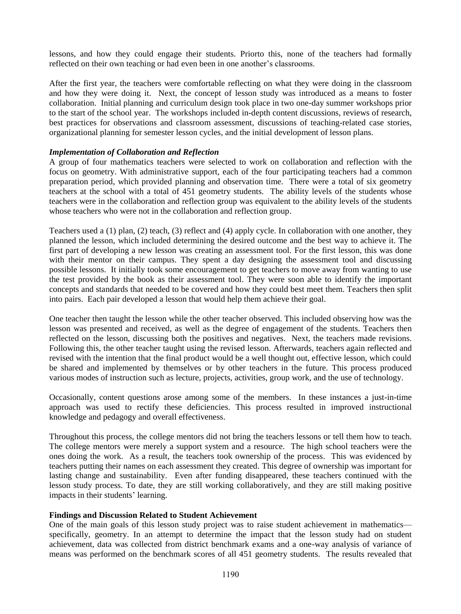lessons, and how they could engage their students. Priorto this, none of the teachers had formally reflected on their own teaching or had even been in one another's classrooms.

After the first year, the teachers were comfortable reflecting on what they were doing in the classroom and how they were doing it. Next, the concept of lesson study was introduced as a means to foster collaboration. Initial planning and curriculum design took place in two one-day summer workshops prior to the start of the school year. The workshops included in-depth content discussions, reviews of research, best practices for observations and classroom assessment, discussions of teaching-related case stories, organizational planning for semester lesson cycles, and the initial development of lesson plans.

#### *Implementation of Collaboration and Reflection*

A group of four mathematics teachers were selected to work on collaboration and reflection with the focus on geometry. With administrative support, each of the four participating teachers had a common preparation period, which provided planning and observation time. There were a total of six geometry teachers at the school with a total of 451 geometry students. The ability levels of the students whose teachers were in the collaboration and reflection group was equivalent to the ability levels of the students whose teachers who were not in the collaboration and reflection group.

Teachers used a (1) plan, (2) teach, (3) reflect and (4) apply cycle. In collaboration with one another, they planned the lesson, which included determining the desired outcome and the best way to achieve it. The first part of developing a new lesson was creating an assessment tool. For the first lesson, this was done with their mentor on their campus. They spent a day designing the assessment tool and discussing possible lessons. It initially took some encouragement to get teachers to move away from wanting to use the test provided by the book as their assessment tool. They were soon able to identify the important concepts and standards that needed to be covered and how they could best meet them. Teachers then split into pairs. Each pair developed a lesson that would help them achieve their goal.

One teacher then taught the lesson while the other teacher observed. This included observing how was the lesson was presented and received, as well as the degree of engagement of the students. Teachers then reflected on the lesson, discussing both the positives and negatives. Next, the teachers made revisions. Following this, the other teacher taught using the revised lesson. Afterwards, teachers again reflected and revised with the intention that the final product would be a well thought out, effective lesson, which could be shared and implemented by themselves or by other teachers in the future. This process produced various modes of instruction such as lecture, projects, activities, group work, and the use of technology.

Occasionally, content questions arose among some of the members. In these instances a just-in-time approach was used to rectify these deficiencies. This process resulted in improved instructional knowledge and pedagogy and overall effectiveness.

Throughout this process, the college mentors did not bring the teachers lessons or tell them how to teach. The college mentors were merely a support system and a resource. The high school teachers were the ones doing the work. As a result, the teachers took ownership of the process. This was evidenced by teachers putting their names on each assessment they created. This degree of ownership was important for lasting change and sustainability. Even after funding disappeared, these teachers continued with the lesson study process. To date, they are still working collaboratively, and they are still making positive impacts in their students' learning.

#### **Findings and Discussion Related to Student Achievement**

One of the main goals of this lesson study project was to raise student achievement in mathematics specifically, geometry. In an attempt to determine the impact that the lesson study had on student achievement, data was collected from district benchmark exams and a one-way analysis of variance of means was performed on the benchmark scores of all 451 geometry students. The results revealed that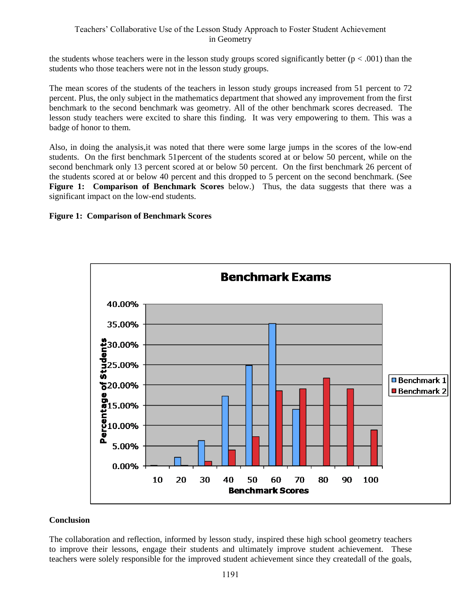the students whose teachers were in the lesson study groups scored significantly better  $(p < .001)$  than the students who those teachers were not in the lesson study groups.

The mean scores of the students of the teachers in lesson study groups increased from 51 percent to 72 percent. Plus, the only subject in the mathematics department that showed any improvement from the first benchmark to the second benchmark was geometry. All of the other benchmark scores decreased. The lesson study teachers were excited to share this finding. It was very empowering to them. This was a badge of honor to them.

Also, in doing the analysis,it was noted that there were some large jumps in the scores of the low-end students. On the first benchmark 51percent of the students scored at or below 50 percent, while on the second benchmark only 13 percent scored at or below 50 percent. On the first benchmark 26 percent of the students scored at or below 40 percent and this dropped to 5 percent on the second benchmark. (See **Figure 1: Comparison of Benchmark Scores** below.) Thus, the data suggests that there was a significant impact on the low-end students.

### **Figure 1: Comparison of Benchmark Scores**



#### **Conclusion**

The collaboration and reflection, informed by lesson study, inspired these high school geometry teachers to improve their lessons, engage their students and ultimately improve student achievement. These teachers were solely responsible for the improved student achievement since they createdall of the goals,